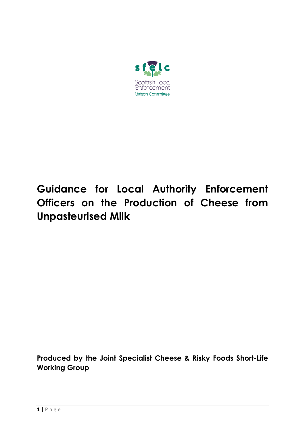

# **Guidance for Local Authority Enforcement Officers on the Production of Cheese from Unpasteurised Milk**

**Produced by the Joint Specialist Cheese & Risky Foods Short-Life Working Group**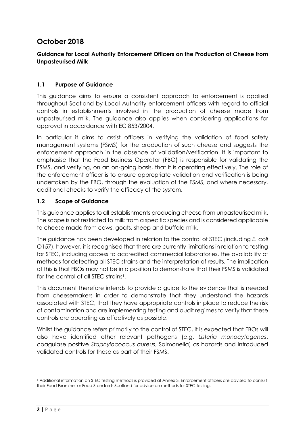## **October 2018**

## **Guidance for Local Authority Enforcement Officers on the Production of Cheese from Unpasteurised Milk**

## **1.1 Purpose of Guidance**

This guidance aims to ensure a consistent approach to enforcement is applied throughout Scotland by Local Authority enforcement officers with regard to official controls in establishments involved in the production of cheese made from unpasteurised milk. The guidance also applies when considering applications for approval in accordance with EC 853/2004.

In particular it aims to assist officers in verifying the validation of food safety management systems (FSMS) for the production of such cheese and suggests the enforcement approach in the absence of validation/verification. It is important to emphasise that the Food Business Operator (FBO) is responsible for validating the FSMS, and verifying, on an on-going basis, that it is operating effectively. The role of the enforcement officer is to ensure appropriate validation and verification is being undertaken by the FBO, through the evaluation of the FSMS, and where necessary, additional checks to verify the efficacy of the system.

## **1.2 Scope of Guidance**

This guidance applies to all establishments producing cheese from unpasteurised milk. The scope is not restricted to milk from a specific species and is considered applicable to cheese made from cows, goats, sheep and buffalo milk.

The guidance has been developed in relation to the control of STEC (including *E. coli* O157), however, it is recognised that there are currently limitations in relation to testing for STEC, including access to accredited commercial laboratories, the availability of methods for detecting all STEC strains and the interpretation of results. The implication of this is that FBOs may not be in a position to demonstrate that their FSMS is validated for the control of all STEC strains<sup>1</sup>.

This document therefore intends to provide a guide to the evidence that is needed from cheesemakers in order to demonstrate that they understand the hazards associated with STEC, that they have appropriate controls in place to reduce the risk of contamination and are implementing testing and audit regimes to verify that these controls are operating as effectively as possible.

Whilst the guidance refers primarily to the control of STEC, it is expected that FBOs will also have identified other relevant pathogens (e.g. *Listeria monocytogenes*, coagulase positive *Staphylococcus aureus*, Salmonella) as hazards and introduced validated controls for these as part of their FSMS.

 $\overline{\phantom{a}}$ <sup>1</sup> Additional information on STEC testing methods is provided at Annex 3. Enforcement officers are advised to consult their Food Examiner or Food Standards Scotland for advice on methods for STEC testing.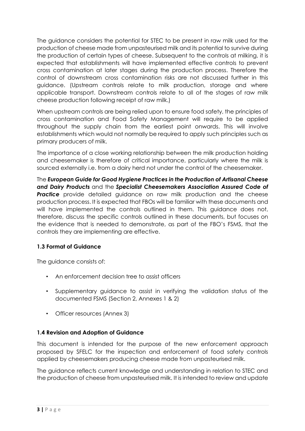The guidance considers the potential for STEC to be present in raw milk used for the production of cheese made from unpasteurised milk and its potential to survive during the production of certain types of cheese. Subsequent to the controls at milking, it is expected that establishments will have implemented effective controls to prevent cross contamination at later stages during the production process. Therefore the control of downstream cross contamination risks are not discussed further in this guidance. (Upstream controls relate to milk production, storage and where applicable transport. Downstream controls relate to all of the stages of raw milk cheese production following receipt of raw milk.)

When upstream controls are being relied upon to ensure food safety, the principles of cross contamination and Food Safety Management will require to be applied throughout the supply chain from the earliest point onwards. This will involve establishments which would not normally be required to apply such principles such as primary producers of milk.

The importance of a close working relationship between the milk production holding and cheesemaker is therefore of critical importance, particularly where the milk is sourced externally i.e. from a dairy herd not under the control of the cheesemaker.

The *European Guide for Good Hygiene Practices in the Production of Artisanal Cheese and Dairy Products* and the *Specialist Cheesemakers Association Assured Code of*  **Practice** provide detailed guidance on raw milk production and the cheese production process. It is expected that FBOs will be familiar with these documents and will have implemented the controls outlined in them. This guidance does not, therefore, discuss the specific controls outlined in these documents, but focuses on the evidence that is needed to demonstrate, as part of the FBO's FSMS, that the controls they are implementing are effective.

## **1.3 Format of Guidance**

The guidance consists of:

- An enforcement decision tree to assist officers
- Supplementary guidance to assist in verifying the validation status of the documented FSMS (Section 2, Annexes 1 & 2)
- Officer resources (Annex 3)

## **1.4 Revision and Adoption of Guidance**

This document is intended for the purpose of the new enforcement approach proposed by SFELC for the inspection and enforcement of food safety controls applied by cheesemakers producing cheese made from unpasteurised milk.

The guidance reflects current knowledge and understanding in relation to STEC and the production of cheese from unpasteurised milk. It is intended to review and update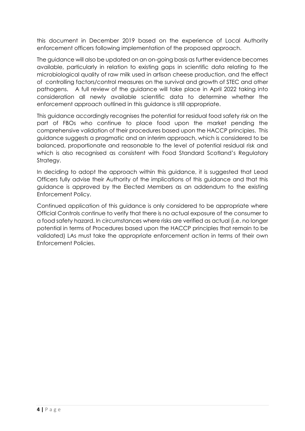this document in December 2019 based on the experience of Local Authority enforcement officers following implementation of the proposed approach.

The guidance will also be updated on an on-going basis as further evidence becomes available, particularly in relation to existing gaps in scientific data relating to the microbiological quality of raw milk used in artisan cheese production, and the effect of controlling factors/control measures on the survival and growth of STEC and other pathogens. A full review of the guidance will take place in April 2022 taking into consideration all newly available scientific data to determine whether the enforcement approach outlined in this guidance is still appropriate.

This guidance accordingly recognises the potential for residual food safety risk on the part of FBOs who continue to place food upon the market pending the comprehensive validation of their procedures based upon the HACCP principles. This guidance suggests a pragmatic and an interim approach, which is considered to be balanced, proportionate and reasonable to the level of potential residual risk and which is also recognised as consistent with Food Standard Scotland's Regulatory Strategy.

In deciding to adopt the approach within this guidance, it is suggested that Lead Officers fully advise their Authority of the implications of this guidance and that this guidance is approved by the Elected Members as an addendum to the existing Enforcement Policy.

Continued application of this guidance is only considered to be appropriate where Official Controls continue to verify that there is no actual exposure of the consumer to a food safety hazard. In circumstances where risks are verified as actual (i.e. no longer potential in terms of Procedures based upon the HACCP principles that remain to be validated) LAs must take the appropriate enforcement action in terms of their own Enforcement Policies.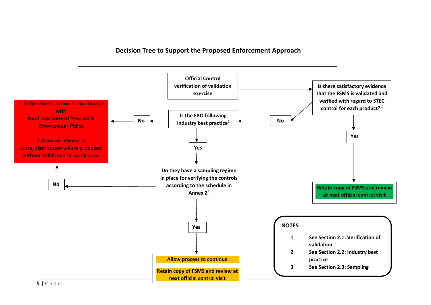

## **5 |** P a g e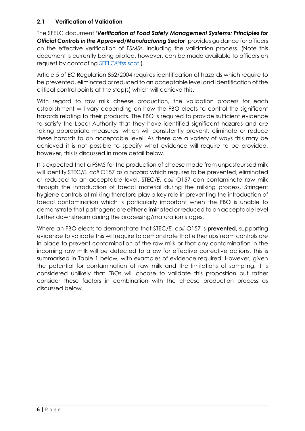## **2.1 Verification of Validation**

The SFELC document *'Verification of Food Safety Management Systems: Principles for Official Controls in the Approved/Manufacturing Sector'* provides guidance for officers on the effective verification of FSMSs, including the validation process. (Note this document is currently being piloted, however, can be made available to officers on request by contacting [SFELC@fss.scot](mailto:SFELC@fss.scot) )

Article 5 of EC Regulation 852/2004 requires identification of hazards which require to be prevented, eliminated or reduced to an acceptable level and identification of the critical control points at the step(s) which will achieve this.

With regard to raw milk cheese production, the validation process for each establishment will vary depending on how the FBO elects to control the significant hazards relating to their products. The FBO is required to provide sufficient evidence to satisfy the Local Authority that they have identified significant hazards and are taking appropriate measures, which will consistently prevent, eliminate or reduce these hazards to an acceptable level. As there are a variety of ways this may be achieved it is not possible to specify what evidence will require to be provided, however, this is discussed in more detail below.

It is expected that a FSMS for the production of cheese made from unpasteurised milk will identify STEC/*E. coli* O157 as a hazard which requires to be prevented, eliminated or reduced to an acceptable level. STEC/*E. coli* O157 can contaminate raw milk through the introduction of faecal material during the milking process. Stringent hygiene controls at milking therefore play a key role in preventing the introduction of faecal contamination which is particularly important when the FBO is unable to demonstrate that pathogens are either eliminated or reduced to an acceptable level further downstream during the processing/maturation stages.

Where an FBO elects to demonstrate that STEC/*E. coli* O157 is **prevented**, supporting evidence to validate this will require to demonstrate that either upstream controls are in place to prevent contamination of the raw milk or that any contamination in the incoming raw milk will be detected to allow for effective corrective actions. This is summarised in Table 1 below, with examples of evidence required. However, given the potential for contamination of raw milk and the limitations of sampling, it is considered unlikely that FBOs will choose to validate this proposition but rather consider these factors in combination with the cheese production process as discussed below.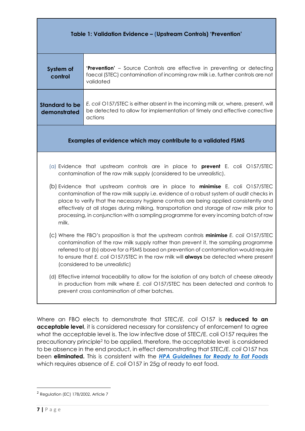| Table 1: Validation Evidence - (Upstream Controls) 'Prevention'                                                                                                                                                                                                                                                                                                                                                                                                                                                                                                                                                                                                                                                                                                                                                                       |                                                                                                                                                                               |  |  |  |  |  |
|---------------------------------------------------------------------------------------------------------------------------------------------------------------------------------------------------------------------------------------------------------------------------------------------------------------------------------------------------------------------------------------------------------------------------------------------------------------------------------------------------------------------------------------------------------------------------------------------------------------------------------------------------------------------------------------------------------------------------------------------------------------------------------------------------------------------------------------|-------------------------------------------------------------------------------------------------------------------------------------------------------------------------------|--|--|--|--|--|
| System of<br>control                                                                                                                                                                                                                                                                                                                                                                                                                                                                                                                                                                                                                                                                                                                                                                                                                  | <b>'Prevention'</b> – Source Controls are effective in preventing or detecting<br>faecal (STEC) contamination of incoming raw milk i.e. further controls are not<br>validated |  |  |  |  |  |
| <b>Standard to be</b><br>demonstrated                                                                                                                                                                                                                                                                                                                                                                                                                                                                                                                                                                                                                                                                                                                                                                                                 | E. coli O157/STEC is either absent in the incoming milk or, where, present, will<br>be detected to allow for implementation of timely and effective corrective<br>actions     |  |  |  |  |  |
| Examples of evidence which may contribute to a validated FSMS                                                                                                                                                                                                                                                                                                                                                                                                                                                                                                                                                                                                                                                                                                                                                                         |                                                                                                                                                                               |  |  |  |  |  |
| (a) Evidence that upstream controls are in place to <b>prevent</b> E. coli $O157/STEC$<br>contamination of the raw milk supply (considered to be unrealistic).<br>(b) Evidence that upstream controls are in place to <b>minimise</b> E. coli O157/STEC<br>contamination of the raw milk supply i.e. evidence of a robust system of audit checks in<br>place to verify that the necessary hygiene controls are being applied consistently and<br>effectively at all stages during milking, transportation and storage of raw milk prior to<br>processing, in conjunction with a sampling programme for every incoming batch of raw<br>milk.<br>(c) Where the FBO's proposition is that the upstream controls <b>minimise</b> E. coli O157/STEC<br>contamination of the raw milk supply rather than prevent it, the sampling programme |                                                                                                                                                                               |  |  |  |  |  |
| referred to at (b) above for a FSMS based on prevention of contamination would require<br>to ensure that E. coli O157/STEC in the raw milk will <b>always</b> be detected where present<br>(considered to be unrealistic)<br>(d) Effective internal traceability to allow for the isolation of any batch of cheese already<br>in production from milk where E. coli O157/STEC has been detected and controls to<br>prevent cross contamination of other batches.                                                                                                                                                                                                                                                                                                                                                                      |                                                                                                                                                                               |  |  |  |  |  |

Where an FBO elects to demonstrate that STEC/*E. coli* O157 is **reduced to an acceptable level**, it is considered necessary for consistency of enforcement to agree what the acceptable level is. The low infective dose of STEC/E. coli O157 requires the precautionary principle<sup>2</sup> to be applied, therefore, the acceptable level is considered to be absence in the end product, in effect demonstrating that STEC/*E. coli* O157 has been **eliminated.** This is consistent with the *[HPA Guidelines for Ready to Eat Foods](https://assets.publishing.service.gov.uk/government/uploads/system/uploads/attachment_data/file/363146/Guidelines_for_assessing_the_microbiological_safety_of_ready-to-eat_foods_on_the_market.pdf)* which requires absence of *E. coli* O157 in 25g of ready to eat food.

 $\overline{\phantom{a}}$ 

<sup>&</sup>lt;sup>2</sup> Regulation (EC) 178/2002, Article 7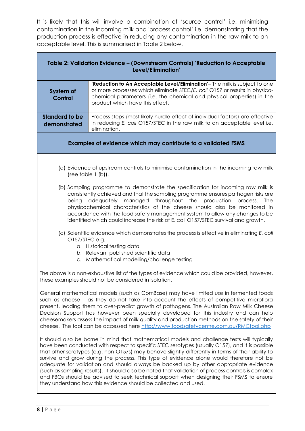It is likely that this will involve a combination of 'source control' i.e. minimising contamination in the incoming milk and 'process control' i.e. demonstrating that the production process is effective in reducing any contamination in the raw milk to an acceptable level. This is summarised in Table 2 below.

| Table 2: Validation Evidence - (Downstream Controls) 'Reduction to Acceptable<br>Level/Elimination'                                                                                                                                                                                                                                                                                                                                                                                                                                                                                                                                                                                                                                                         |                                                                                                                                                                                                                                                                       |  |  |  |  |  |  |
|-------------------------------------------------------------------------------------------------------------------------------------------------------------------------------------------------------------------------------------------------------------------------------------------------------------------------------------------------------------------------------------------------------------------------------------------------------------------------------------------------------------------------------------------------------------------------------------------------------------------------------------------------------------------------------------------------------------------------------------------------------------|-----------------------------------------------------------------------------------------------------------------------------------------------------------------------------------------------------------------------------------------------------------------------|--|--|--|--|--|--|
| System of<br>Control                                                                                                                                                                                                                                                                                                                                                                                                                                                                                                                                                                                                                                                                                                                                        | 'Reduction to An Acceptable Level/Elimination'- The milk is subject to one<br>or more processes which eliminate STEC/E. coli O157 or results in physico-<br>chemical parameters (i.e. the chemical and physical properties) in the<br>product which have this effect. |  |  |  |  |  |  |
| <b>Standard to be</b><br>demonstrated                                                                                                                                                                                                                                                                                                                                                                                                                                                                                                                                                                                                                                                                                                                       | Process steps (most likely hurdle effect of individual factors) are effective<br>in reducing E. coli O157/STEC in the raw milk to an acceptable level i.e.<br>elimination.                                                                                            |  |  |  |  |  |  |
| Examples of evidence which may contribute to a validated FSMS                                                                                                                                                                                                                                                                                                                                                                                                                                                                                                                                                                                                                                                                                               |                                                                                                                                                                                                                                                                       |  |  |  |  |  |  |
| (see table 1 (b)).                                                                                                                                                                                                                                                                                                                                                                                                                                                                                                                                                                                                                                                                                                                                          | (a) Evidence of upstream controls to minimise contamination in the incoming raw milk                                                                                                                                                                                  |  |  |  |  |  |  |
| (b) Sampling programme to demonstrate the specification for incoming raw milk is<br>consistently achieved and that the sampling programme ensures pathogen risks are<br>throughout the<br>production<br>adequately<br>managed<br>process.<br><b>The</b><br>being<br>physicochemical characteristics of the cheese should also be monitored in<br>accordance with the food safety management system to allow any changes to be<br>identified which could increase the risk of E. coli O157/STEC survival and growth.                                                                                                                                                                                                                                         |                                                                                                                                                                                                                                                                       |  |  |  |  |  |  |
| (c) Scientific evidence which demonstrates the process is effective in eliminating E. coli<br>O157/STEC e.g.<br>a. Historical testing data<br>b. Relevant published scientific data<br>c. Mathematical modelling/challenge testing                                                                                                                                                                                                                                                                                                                                                                                                                                                                                                                          |                                                                                                                                                                                                                                                                       |  |  |  |  |  |  |
| The above is a non-exhaustive list of the types of evidence which could be provided, however,<br>these examples should not be considered in isolation.                                                                                                                                                                                                                                                                                                                                                                                                                                                                                                                                                                                                      |                                                                                                                                                                                                                                                                       |  |  |  |  |  |  |
| General mathematical models (such as ComBase) may have limited use in fermented foods<br>such as cheese – as they do not take into account the effects of competitive microflora<br>present, leading them to over-predict growth of pathogens. The Australian Raw Milk Cheese<br>Decision Support has however been specially developed for this industry and can help<br>cheesemakers assess the impact of milk quality and production methods on the safety of their<br>cheese. The tool can be accessed here http://www.foodsafetycentre.com.au/RMCtool.php                                                                                                                                                                                               |                                                                                                                                                                                                                                                                       |  |  |  |  |  |  |
| It should also be borne in mind that mathematical models and challenge tests will typically<br>have been conducted with respect to specific STEC serotypes (usually O157), and it is possible<br>that other serotypes (e.g. non-O157s) may behave slightly differently in terms of their ability to<br>survive and grow during the process. This type of evidence alone would therefore not be<br>adequate for validation and should always be backed up by other appropriate evidence<br>(such as sampling results). It should also be noted that validation of process controls is complex<br>and FBOs should be advised to seek technical support when designing their FSMS to ensure<br>they understand how this evidence should be collected and used. |                                                                                                                                                                                                                                                                       |  |  |  |  |  |  |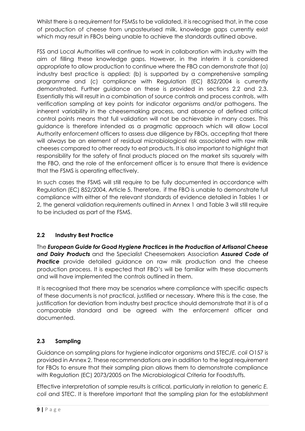Whilst there is a requirement for FSMSs to be validated, it is recognised that, in the case of production of cheese from unpasteurised milk, knowledge gaps currently exist which may result in FBOs being unable to achieve the standards outlined above.

FSS and Local Authorities will continue to work in collaboration with industry with the aim of filling these knowledge gaps. However, in the interim it is considered appropriate to allow production to continue where the FBO can demonstrate that (a) industry best practice is applied; (b) is supported by a comprehensive sampling programme and (c) compliance with Regulation (EC) 852/2004 is currently demonstrated. Further guidance on these is provided in sections 2.2 and 2.3. Essentially this will result in a combination of source controls and process controls, with verification sampling at key points for indicator organisms and/or pathogens. The inherent variability in the cheesemaking process, and absence of defined critical control points means that full validation will not be achievable in many cases. This guidance is therefore intended as a pragmatic approach which will allow Local Authority enforcement officers to assess due diligence by FBOs, accepting that there will always be an element of residual microbiological risk associated with raw milk cheeses compared to other ready to eat products. It is also important to highlight that responsibility for the safety of final products placed on the market sits squarely with the FBO, and the role of the enforcement officer is to ensure that there is evidence that the FSMS is operating effectively.

In such cases the FSMS will still require to be fully documented in accordance with Regulation (EC) 852/2004, Article 5. Therefore, if the FBO is unable to demonstrate full compliance with either of the relevant standards of evidence detailed in Tables 1 or 2, the general validation requirements outlined in Annex 1 and Table 3 will still require to be included as part of the FSMS.

## **2.2 Industry Best Practice**

The *European Guide for Good Hygiene Practices in the Production of Artisanal Cheese and Dairy Products* and the Specialist Cheesemakers Association *Assured Code of*  **Practice** provide detailed guidance on raw milk production and the cheese production process. It is expected that FBO's will be familiar with these documents and will have implemented the controls outlined in them.

It is recognised that there may be scenarios where compliance with specific aspects of these documents is not practical, justified or necessary. Where this is the case, the justification for deviation from industry best practice should demonstrate that it is of a comparable standard and be agreed with the enforcement officer and documented.

## **2.3 Sampling**

Guidance on sampling plans for hygiene indicator organisms and STEC/*E. coli* O157 is provided in Annex 2. These recommendations are in addition to the legal requirement for FBOs to ensure that their sampling plan allows them to demonstrate compliance with Regulation (EC) 2073/2005 on The Microbiological Criteria for Foodstuffs.

Effective interpretation of sample results is critical, particularly in relation to generic *E. coli* and STEC. It is therefore important that the sampling plan for the establishment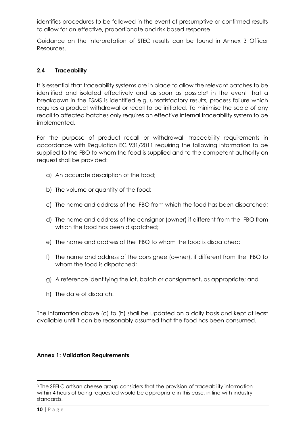identifies procedures to be followed in the event of presumptive or confirmed results to allow for an effective, proportionate and risk based response.

Guidance on the interpretation of STEC results can be found in Annex 3 Officer Resources.

## **2.4 Traceability**

It is essential that traceability systems are in place to allow the relevant batches to be identified and isolated effectively and as soon as possible<sup>3</sup> in the event that a breakdown in the FSMS is identified e.g. unsatisfactory results, process failure which requires a product withdrawal or recall to be initiated. To minimise the scale of any recall to affected batches only requires an effective internal traceability system to be implemented.

For the purpose of product recall or withdrawal, traceability requirements in accordance with Regulation EC 931/2011 requiring the following information to be supplied to the FBO to whom the food is supplied and to the competent authority on request shall be provided:

- a) An accurate description of the food;
- b) The volume or quantity of the food;
- c) The name and address of the FBO from which the food has been dispatched;
- d) The name and address of the consignor (owner) if different from the FBO from which the food has been dispatched;
- e) The name and address of the FBO to whom the food is dispatched;
- f) The name and address of the consignee (owner), if different from the FBO to whom the food is dispatched;
- g) A reference identifying the lot, batch or consignment, as appropriate; and
- h) The date of dispatch.

The information above (a) to (h) shall be updated on a daily basis and kept at least available until it can be reasonably assumed that the food has been consumed.

#### **Annex 1: Validation Requirements**

<sup>1</sup> <sup>3</sup> The SFELC artisan cheese group considers that the provision of traceability information within 4 hours of being requested would be appropriate in this case, in line with industry standards.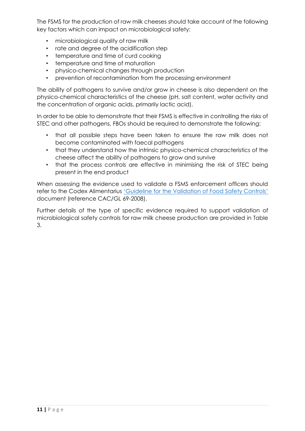The FSMS for the production of raw milk cheeses should take account of the following key factors which can impact on microbiological safety:

- microbiological quality of raw milk
- rate and degree of the acidification step
- temperature and time of curd cooking
- temperature and time of maturation
- physico-chemical changes through production
- prevention of recontamination from the processing environment

The ability of pathogens to survive and/or grow in cheese is also dependent on the physico-chemical characteristics of the cheese (pH, salt content, water activity and the concentration of organic acids, primarily lactic acid).

In order to be able to demonstrate that their FSMS is effective in controlling the risks of STEC and other pathogens, FBOs should be required to demonstrate the following:

- that all possible steps have been taken to ensure the raw milk does not become contaminated with faecal pathogens
- that they understand how the intrinsic physico-chemical characteristics of the cheese affect the ability of pathogens to grow and survive
- that the process controls are effective in minimising the risk of STEC being present in the end product

When assessing the evidence used to validate a FSMS enforcement officers should refer to the Codex Alimentarius ['Guideline for the Validation of Food Safety Controls'](http://www.fao.org/fao-who-codexalimentarius/sh-proxy/en/?lnk=1&url=https%253A%252F%252Fworkspace.fao.org%252Fsites%252Fcodex%252FStandards%252FCAC%2BGL%2B69-2008%252FCXG_069e.pdf) document (reference CAC/GL 69-2008).

Further details of the type of specific evidence required to support validation of microbiological safety controls for raw milk cheese production are provided in Table 3.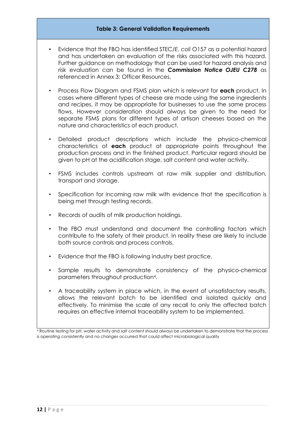#### **Table 3: General Validation Requirements**

- Evidence that the FBO has identified STEC/*E. coli* O157 as a potential hazard and has undertaken an evaluation of the risks associated with this hazard. Further guidance on methodology that can be used for hazard analysis and risk evaluation can be found in the *Commission Notice OJEU C278* as referenced in Annex 3: Officer Resources.
- Process Flow Diagram and FSMS plan which is relevant for **each** product. In cases where different types of cheese are made using the same ingredients and recipes, it may be appropriate for businesses to use the same process flows. However consideration should always be given to the need for separate FSMS plans for different types of artisan cheeses based on the nature and characteristics of each product.
- Detailed product descriptions which include the physico-chemical characteristics of **each** product at appropriate points throughout the production process and in the finished product. Particular regard should be given to pH at the acidification stage, salt content and water activity.
- FSMS includes controls upstream at raw milk supplier and distribution, transport and storage.
- Specification for incoming raw milk with evidence that the specification is being met through testing records.
- Records of audits of milk production holdings.
- The FBO must understand and document the controlling factors which contribute to the safety of their product. In reality these are likely to include both source controls and process controls.
- Evidence that the FBO is following industry best practice.
- Sample results to demonstrate consistency of the physico-chemical parameters throughout production<sup>4</sup> .
- A traceability system in place which, in the event of unsatisfactory results, allows the relevant batch to be identified and isolated quickly and effectively. To minimise the scale of any recall to only the affected batch requires an effective internal traceability system to be implemented.

<sup>4</sup> Routine testing for pH, water activity and salt content should always be undertaken to demonstrate that the process is operating consistently and no changes occurred that could affect microbiological quality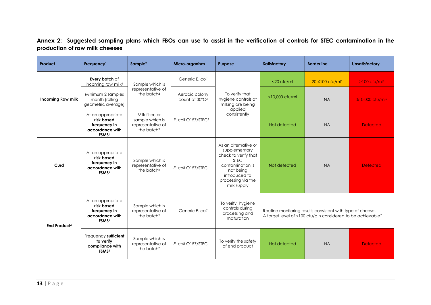## **Annex 2: Suggested sampling plans which FBOs can use to assist in the verification of controls for STEC contamination in the production of raw milk cheeses**

| Product                  | Frequency <sup>1</sup>                                                                  | Sample <sup>2</sup>                                                                                                                                 | Micro-organism                               | <b>Purpose</b>                                                                                                                                                      | Satisfactory                                                                                                                           | <b>Borderline</b>           | <b>Unsatisfactory</b>       |
|--------------------------|-----------------------------------------------------------------------------------------|-----------------------------------------------------------------------------------------------------------------------------------------------------|----------------------------------------------|---------------------------------------------------------------------------------------------------------------------------------------------------------------------|----------------------------------------------------------------------------------------------------------------------------------------|-----------------------------|-----------------------------|
| <b>Incoming Raw milk</b> | Every batch of<br>incoming raw milk <sup>1</sup>                                        | Sample which is<br>representative of<br>the batch <sup>2</sup><br>Milk filter, or<br>sample which is<br>representative of<br>the batch <sup>2</sup> | Generic E. coli                              | To verify that<br>hygiene controls at<br>milking are being<br>applied<br>consistently                                                                               | $<$ 20 cfu/ml                                                                                                                          | 20-≤100 cfu/ml <sup>6</sup> | $>100$ cfu/ml <sup>6</sup>  |
|                          | Minimum 2 samples<br>month (rolling<br>geometric average)                               |                                                                                                                                                     | Aerobic colony<br>count at 30°C <sup>3</sup> |                                                                                                                                                                     | <10,000 cfu/ml                                                                                                                         | <b>NA</b>                   | ≥10,000 cfu/ml <sup>6</sup> |
|                          | At an appropriate<br>risk based<br>frequency in<br>accordance with<br><b>FSMS</b>       |                                                                                                                                                     | E. coli O157/STEC5                           |                                                                                                                                                                     | Not detected                                                                                                                           | <b>NA</b>                   | <b>Detected</b>             |
| Curd                     | At an appropriate<br>risk based<br>frequency in<br>accordance with<br><b>FSMS1</b>      | Sample which is<br>representative of<br>the batch <sup>2</sup>                                                                                      | E. coli O157/STEC                            | As an alternative or<br>supplementary<br>check to verify that<br><b>STEC</b><br>contamination is<br>not being<br>introduced to<br>processing via the<br>milk supply | Not detected                                                                                                                           | <b>NA</b>                   | <b>Detected</b>             |
| <b>End Product4</b>      | At an appropriate<br>risk based<br>frequency in<br>accordance with<br>FSMS <sup>1</sup> | Sample which is<br>representative of<br>the batch <sup>2</sup>                                                                                      | Generic E. coli                              | To verify hygiene<br>controls during<br>processing and<br>maturation                                                                                                | Routine monitoring results consistent with type of cheese.<br>A target level of <100 cfu/g is considered to be achievable <sup>7</sup> |                             |                             |
|                          | Frequency sufficient<br>to verify<br>compliance with<br>FSMS <sup>1</sup>               | Sample which is<br>representative of<br>the batch <sup>2</sup>                                                                                      | E. coli O157/STEC                            | To verify the safety<br>of end product                                                                                                                              | Not detected                                                                                                                           | <b>NA</b>                   | <b>Detected</b>             |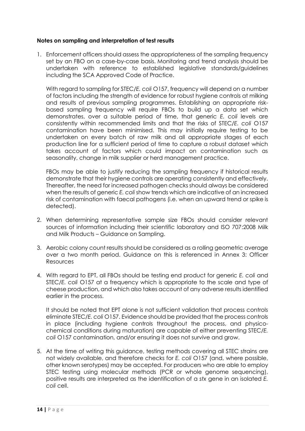#### **Notes on sampling and interpretation of test results**

1. Enforcement officers should assess the appropriateness of the sampling frequency set by an FBO on a case-by-case basis. Monitoring and trend analysis should be undertaken with reference to established legislative standards/guidelines including the SCA Approved Code of Practice.

With regard to sampling for STEC/*E. coli* O157, frequency will depend on a number of factors including the strength of evidence for robust hygiene controls at milking and results of previous sampling programmes. Establishing an appropriate riskbased sampling frequency will require FBOs to build up a data set which demonstrates, over a suitable period of time, that generic *E. coli* levels are consistently within recommended limits and that the risks of STEC/*E. coli* O157 contamination have been minimised. This may initially require testing to be undertaken on every batch of raw milk and all appropriate stages of each production line for a sufficient period of time to capture a robust dataset which takes account of factors which could impact on contamination such as seasonality, change in milk supplier or herd management practice.

FBOs may be able to justify reducing the sampling frequency if historical results demonstrate that their hygiene controls are operating consistently and effectively. Thereafter, the need for increased pathogen checks should always be considered when the results of generic *E. coli* show trends which are indicative of an increased risk of contamination with faecal pathogens (i.e. when an upward trend or spike is detected).

- 2. When determining representative sample size FBOs should consider relevant sources of information including their scientific laboratory and ISO 707:2008 Milk and Milk Products – Guidance on Sampling.
- 3. Aerobic colony count results should be considered as a rolling geometric average over a two month period. Guidance on this is referenced in Annex 3: Officer Resources
- 4. With regard to EPT, all FBOs should be testing end product for generic *E. coli* and STEC/*E. coli* O157 at a frequency which is appropriate to the scale and type of cheese production, and which also takes account of any adverse results identified earlier in the process.

It should be noted that EPT alone is not sufficient validation that process controls eliminate STEC/*E. coli* O157. Evidence should be provided that the process controls in place (including hygiene controls throughout the process, and physicochemical conditions during maturation) are capable of either preventing STEC/*E. coli* O157 contamination, and/or ensuring it does not survive and grow.

5. At the time of writing this guidance, testing methods covering all STEC strains are not widely available, and therefore checks for *E. coli* O157 (and, where possible, other known serotypes) may be accepted. For producers who are able to employ STEC testing using molecular methods (PCR or whole genome sequencing), positive results are interpreted as the identification of a *stx* gene in an isolated *E. coli* cell.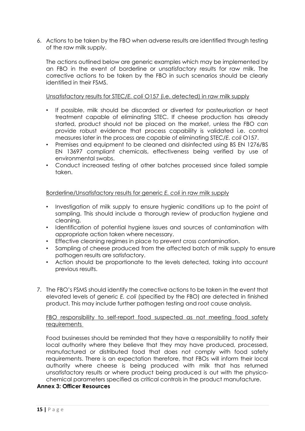6. Actions to be taken by the FBO when adverse results are identified through testing of the raw milk supply.

The actions outlined below are generic examples which may be implemented by an FBO in the event of borderline or unsatisfactory results for raw milk. The corrective actions to be taken by the FBO in such scenarios should be clearly identified in their FSMS.

#### Unsatisfactory results for STEC/*E. coli* O157 (i.e. detected) in raw milk supply

- If possible, milk should be discarded or diverted for pasteurisation or heat treatment capable of eliminating STEC. If cheese production has already started, product should not be placed on the market, unless the FBO can provide robust evidence that process capability is validated i.e. control measures later in the process are capable of eliminating STEC/*E. coli* O157.
- Premises and equipment to be cleaned and disinfected using BS EN 1276/BS EN 13697 compliant chemicals, effectiveness being verified by use of environmental swabs.
- Conduct increased testing of other batches processed since failed sample taken.

#### Borderline/Unsatisfactory results for generic *E. coli* in raw milk supply

- Investigation of milk supply to ensure hygienic conditions up to the point of sampling. This should include a thorough review of production hygiene and cleaning.
- Identification of potential hygiene issues and sources of contamination with appropriate action taken where necessary.
- Effective cleaning regimes in place to prevent cross contamination.
- Sampling of cheese produced from the affected batch of milk supply to ensure pathogen results are satisfactory.
- Action should be proportionate to the levels detected, taking into account previous results.
- 7. The FBO's FSMS should identify the corrective actions to be taken in the event that elevated levels of generic *E. coli* (specified by the FBO) are detected in finished product. This may include further pathogen testing and root cause analysis.

#### FBO responsibility to self-report food suspected as not meeting food safety requirements

Food businesses should be reminded that they have a responsibility to notify their local authority where they believe that they may have produced, processed, manufactured or distributed food that does not comply with food safety requirements. There is an expectation therefore, that FBOs will inform their local authority where cheese is being produced with milk that has returned unsatisfactory results or where product being produced is out with the physicochemical parameters specified as critical controls in the product manufacture.

#### **Annex 3: Officer Resources**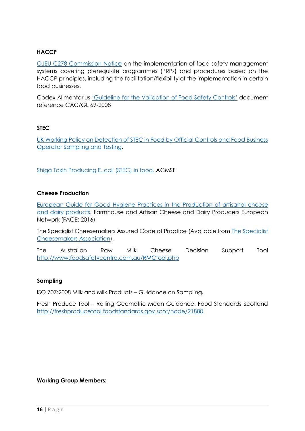## **HACCP**

[OJEU C278 Commission Notice](https://eur-lex.europa.eu/legal-content/EN/TXT/PDF/?uri=OJ:C:2016:278:FULL&from=EN) on the implementation of food safety management systems covering prerequisite programmes (PRPs) and procedures based on the HACCP principles, including the facilitation/flexibility of the implementation in certain food businesses.

Codex Alimentarius ['Guideline for the Validation of Food Safety Controls'](http://www.fao.org/fao-who-codexalimentarius/sh-proxy/en/?lnk=1&url=https%253A%252F%252Fworkspace.fao.org%252Fsites%252Fcodex%252FStandards%252FCAC%2BGL%2B69-2008%252FCXG_069e.pdf) document reference CAC/GL 69-2008

## **STEC**

[UK Working Policy on Detection of STEC in Food by Official Controls and Food Business](http://www.foodstandards.gov.scot/downloads/Draft_UK_Working_Policy_on_Detection_of_STEC_in_Food_August_2016_FSS_v_1_-_12_August_2016.pdf)  [Operator Sampling and Testing.](http://www.foodstandards.gov.scot/downloads/Draft_UK_Working_Policy_on_Detection_of_STEC_in_Food_August_2016_FSS_v_1_-_12_August_2016.pdf)

[Shiga Toxin Producing E. coli \(STEC\) in food.](https://acmsf.food.gov.uk/sites/default/files/acm_1191_stec.pdf) ACMSF

#### **Cheese Production**

[European Guide for Good Hygiene Practices in the Production of artisanal cheese](https://ec.europa.eu/food/sites/food/files/safety/docs/biosafety_fh_guidance_artisanal-cheese-and-dairy-products_en.pdf)  [and dairy products.](https://ec.europa.eu/food/sites/food/files/safety/docs/biosafety_fh_guidance_artisanal-cheese-and-dairy-products_en.pdf) Farmhouse and Artisan Cheese and Dairy Producers European Network (FACE; 2016)

The Specialist Cheesemakers Assured Code of Practice (Available from [The Specialist](http://www.specialistcheesemakers.co.uk/)  [Cheesemakers Association\)](http://www.specialistcheesemakers.co.uk/).

The Australian Raw Milk Cheese Decision Support Tool <http://www.foodsafetycentre.com.au/RMCtool.php>

#### **Sampling**

ISO 707:2008 Milk and Milk Products – Guidance on Sampling**.**

Fresh Produce Tool – Rolling Geometric Mean Guidance. Food Standards Scotland <http://freshproducetool.foodstandards.gov.scot/node/21880>

#### **Working Group Members:**